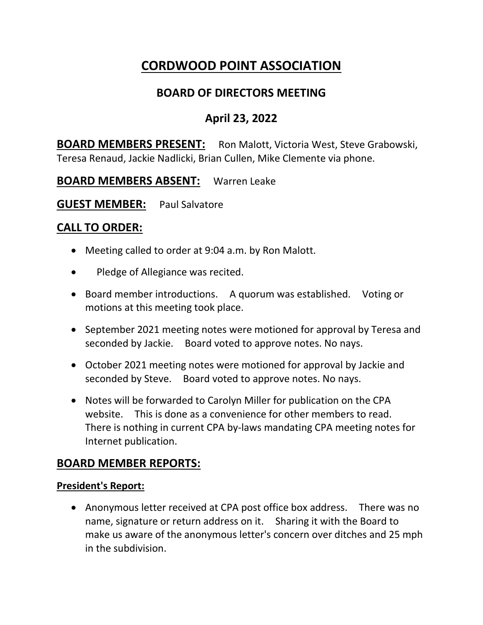# **CORDWOOD POINT ASSOCIATION**

## **BOARD OF DIRECTORS MEETING**

## **April 23, 2022**

**BOARD MEMBERS PRESENT:** Ron Malott, Victoria West, Steve Grabowski, Teresa Renaud, Jackie Nadlicki, Brian Cullen, Mike Clemente via phone.

#### **BOARD MEMBERS ABSENT:** Warren Leake

**GUEST MEMBER:** Paul Salvatore

#### **CALL TO ORDER:**

- Meeting called to order at 9:04 a.m. by Ron Malott.
- Pledge of Allegiance was recited.
- Board member introductions. A quorum was established. Voting or motions at this meeting took place.
- September 2021 meeting notes were motioned for approval by Teresa and seconded by Jackie. Board voted to approve notes. No nays.
- October 2021 meeting notes were motioned for approval by Jackie and seconded by Steve. Board voted to approve notes. No nays.
- Notes will be forwarded to Carolyn Miller for publication on the CPA website. This is done as a convenience for other members to read. There is nothing in current CPA by-laws mandating CPA meeting notes for Internet publication.

### **BOARD MEMBER REPORTS:**

#### **President's Report:**

• Anonymous letter received at CPA post office box address. There was no name, signature or return address on it. Sharing it with the Board to make us aware of the anonymous letter's concern over ditches and 25 mph in the subdivision.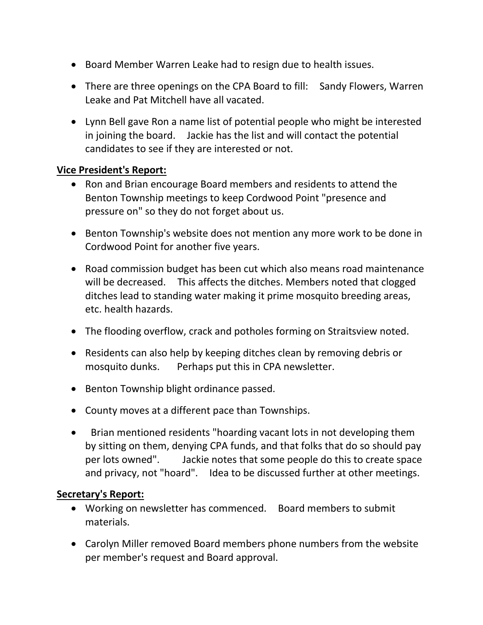- Board Member Warren Leake had to resign due to health issues.
- There are three openings on the CPA Board to fill: Sandy Flowers, Warren Leake and Pat Mitchell have all vacated.
- Lynn Bell gave Ron a name list of potential people who might be interested in joining the board. Jackie has the list and will contact the potential candidates to see if they are interested or not.

#### **Vice President's Report:**

- Ron and Brian encourage Board members and residents to attend the Benton Township meetings to keep Cordwood Point "presence and pressure on" so they do not forget about us.
- Benton Township's website does not mention any more work to be done in Cordwood Point for another five years.
- Road commission budget has been cut which also means road maintenance will be decreased. This affects the ditches. Members noted that clogged ditches lead to standing water making it prime mosquito breeding areas, etc. health hazards.
- The flooding overflow, crack and potholes forming on Straitsview noted.
- Residents can also help by keeping ditches clean by removing debris or mosquito dunks. Perhaps put this in CPA newsletter.
- Benton Township blight ordinance passed.
- County moves at a different pace than Townships.
- Brian mentioned residents "hoarding vacant lots in not developing them by sitting on them, denying CPA funds, and that folks that do so should pay per lots owned". Jackie notes that some people do this to create space and privacy, not "hoard". Idea to be discussed further at other meetings.

### **Secretary's Report:**

- Working on newsletter has commenced. Board members to submit materials.
- Carolyn Miller removed Board members phone numbers from the website per member's request and Board approval.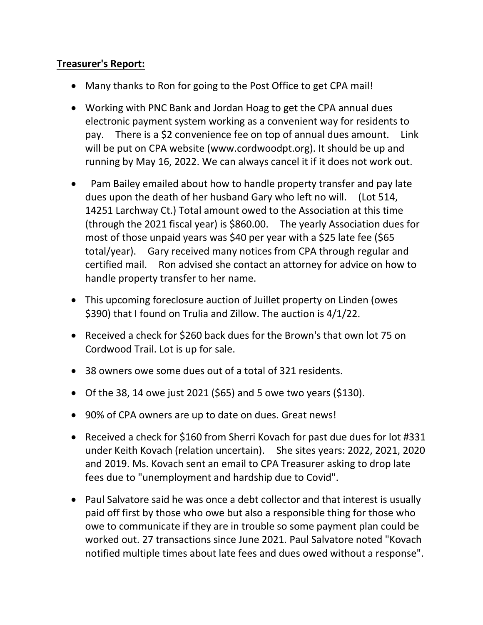#### **Treasurer's Report:**

- Many thanks to Ron for going to the Post Office to get CPA mail!
- Working with PNC Bank and Jordan Hoag to get the CPA annual dues electronic payment system working as a convenient way for residents to pay. There is a \$2 convenience fee on top of annual dues amount. Link will be put on CPA website [\(www.cordwoodpt.org\)](www.cordwoodpt.org). It should be up and running by May 16, 2022. We can always cancel it if it does not work out.
- Pam Bailey emailed about how to handle property transfer and pay late dues upon the death of her husband Gary who left no will. (Lot 514, 14251 Larchway Ct.) Total amount owed to the Association at this time (through the 2021 fiscal year) is \$860.00. The yearly Association dues for most of those unpaid years was \$40 per year with a \$25 late fee (\$65 total/year). Gary received many notices from CPA through regular and certified mail. Ron advised she contact an attorney for advice on how to handle property transfer to her name.
- This upcoming foreclosure auction of Juillet property on Linden (owes \$390) that I found on Trulia and Zillow. The auction is 4/1/22.
- Received a check for \$260 back dues for the Brown's that own lot 75 on Cordwood Trail. Lot is up for sale.
- 38 owners owe some dues out of a total of 321 residents.
- Of the 38, 14 owe just 2021 (\$65) and 5 owe two years (\$130).
- 90% of CPA owners are up to date on dues. Great news!
- Received a check for \$160 from Sherri Kovach for past due dues for lot #331 under Keith Kovach (relation uncertain). She sites years: 2022, 2021, 2020 and 2019. Ms. Kovach sent an email to CPA Treasurer asking to drop late fees due to "unemployment and hardship due to Covid".
- Paul Salvatore said he was once a debt collector and that interest is usually paid off first by those who owe but also a responsible thing for those who owe to communicate if they are in trouble so some payment plan could be worked out. 27 transactions since June 2021. Paul Salvatore noted "Kovach notified multiple times about late fees and dues owed without a response".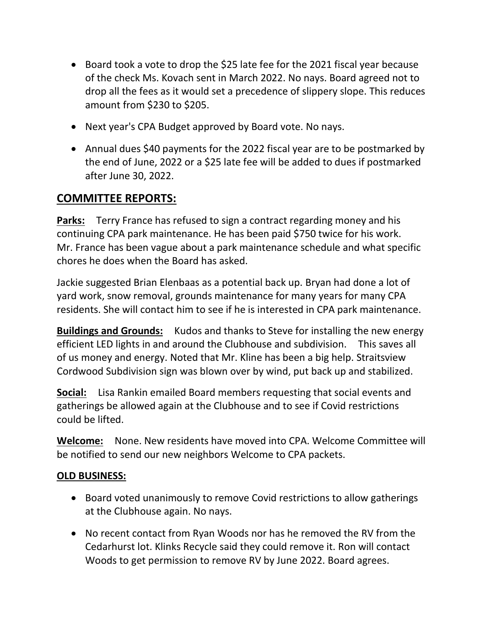- Board took a vote to drop the \$25 late fee for the 2021 fiscal year because of the check Ms. Kovach sent in March 2022. No nays. Board agreed not to drop all the fees as it would set a precedence of slippery slope. This reduces amount from \$230 to \$205.
- Next year's CPA Budget approved by Board vote. No nays.
- Annual dues \$40 payments for the 2022 fiscal year are to be postmarked by the end of June, 2022 or a \$25 late fee will be added to dues if postmarked after June 30, 2022.

# **COMMITTEE REPORTS:**

**Parks:** Terry France has refused to sign a contract regarding money and his continuing CPA park maintenance. He has been paid \$750 twice for his work. Mr. France has been vague about a park maintenance schedule and what specific chores he does when the Board has asked.

Jackie suggested Brian Elenbaas as a potential back up. Bryan had done a lot of yard work, snow removal, grounds maintenance for many years for many CPA residents. She will contact him to see if he is interested in CPA park maintenance.

**Buildings and Grounds:** Kudos and thanks to Steve for installing the new energy efficient LED lights in and around the Clubhouse and subdivision. This saves all of us money and energy. Noted that Mr. Kline has been a big help. Straitsview Cordwood Subdivision sign was blown over by wind, put back up and stabilized.

**Social:** Lisa Rankin emailed Board members requesting that social events and gatherings be allowed again at the Clubhouse and to see if Covid restrictions could be lifted.

**Welcome:** None. New residents have moved into CPA. Welcome Committee will be notified to send our new neighbors Welcome to CPA packets.

### **OLD BUSINESS:**

- Board voted unanimously to remove Covid restrictions to allow gatherings at the Clubhouse again. No nays.
- No recent contact from Ryan Woods nor has he removed the RV from the Cedarhurst lot. Klinks Recycle said they could remove it. Ron will contact Woods to get permission to remove RV by June 2022. Board agrees.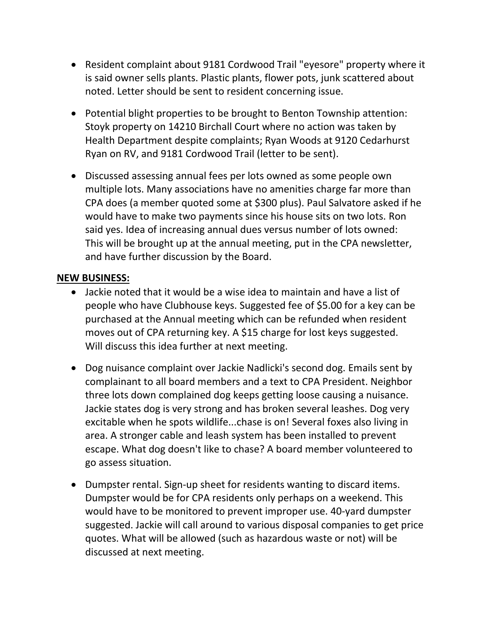- Resident complaint about 9181 Cordwood Trail "eyesore" property where it is said owner sells plants. Plastic plants, flower pots, junk scattered about noted. Letter should be sent to resident concerning issue.
- Potential blight properties to be brought to Benton Township attention: Stoyk property on 14210 Birchall Court where no action was taken by Health Department despite complaints; Ryan Woods at 9120 Cedarhurst Ryan on RV, and 9181 Cordwood Trail (letter to be sent).
- Discussed assessing annual fees per lots owned as some people own multiple lots. Many associations have no amenities charge far more than CPA does (a member quoted some at \$300 plus). Paul Salvatore asked if he would have to make two payments since his house sits on two lots. Ron said yes. Idea of increasing annual dues versus number of lots owned: This will be brought up at the annual meeting, put in the CPA newsletter, and have further discussion by the Board.

#### **NEW BUSINESS:**

- Jackie noted that it would be a wise idea to maintain and have a list of people who have Clubhouse keys. Suggested fee of \$5.00 for a key can be purchased at the Annual meeting which can be refunded when resident moves out of CPA returning key. A \$15 charge for lost keys suggested. Will discuss this idea further at next meeting.
- Dog nuisance complaint over Jackie Nadlicki's second dog. Emails sent by complainant to all board members and a text to CPA President. Neighbor three lots down complained dog keeps getting loose causing a nuisance. Jackie states dog is very strong and has broken several leashes. Dog very excitable when he spots wildlife...chase is on! Several foxes also living in area. A stronger cable and leash system has been installed to prevent escape. What dog doesn't like to chase? A board member volunteered to go assess situation.
- Dumpster rental. Sign-up sheet for residents wanting to discard items. Dumpster would be for CPA residents only perhaps on a weekend. This would have to be monitored to prevent improper use. 40-yard dumpster suggested. Jackie will call around to various disposal companies to get price quotes. What will be allowed (such as hazardous waste or not) will be discussed at next meeting.